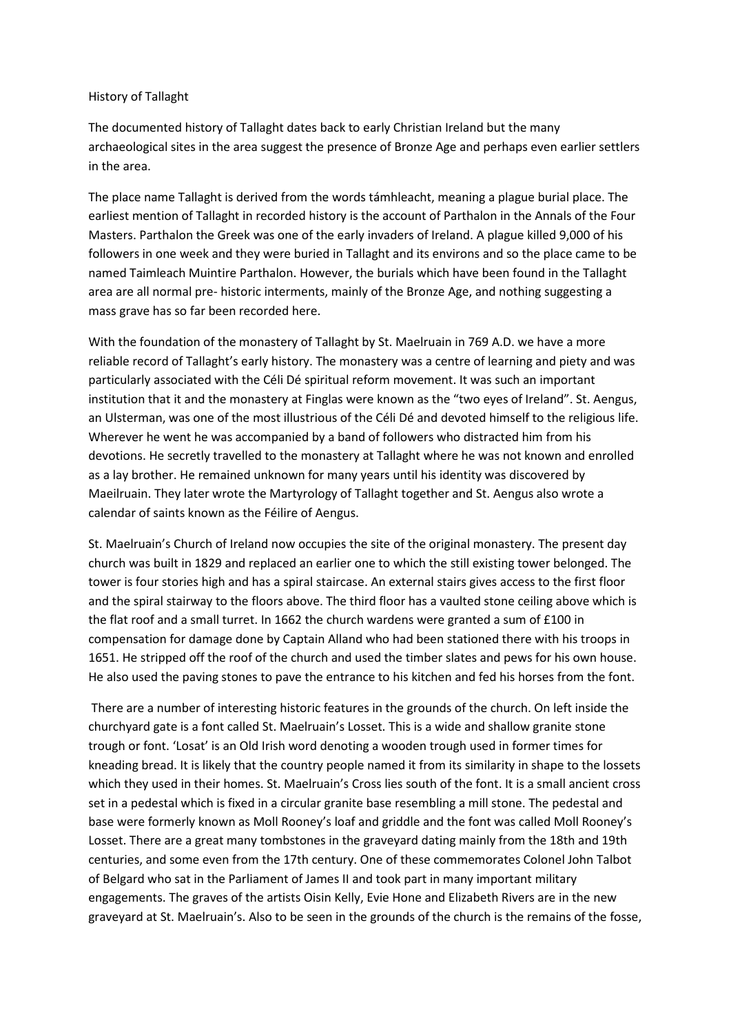## History of Tallaght

The documented history of Tallaght dates back to early Christian Ireland but the many archaeological sites in the area suggest the presence of Bronze Age and perhaps even earlier settlers in the area.

The place name Tallaght is derived from the words támhleacht, meaning a plague burial place. The earliest mention of Tallaght in recorded history is the account of Parthalon in the Annals of the Four Masters. Parthalon the Greek was one of the early invaders of Ireland. A plague killed 9,000 of his followers in one week and they were buried in Tallaght and its environs and so the place came to be named Taimleach Muintire Parthalon. However, the burials which have been found in the Tallaght area are all normal pre- historic interments, mainly of the Bronze Age, and nothing suggesting a mass grave has so far been recorded here.

With the foundation of the monastery of Tallaght by St. Maelruain in 769 A.D. we have a more reliable record of Tallaght's early history. The monastery was a centre of learning and piety and was particularly associated with the Céli Dé spiritual reform movement. It was such an important institution that it and the monastery at Finglas were known as the "two eyes of Ireland". St. Aengus, an Ulsterman, was one of the most illustrious of the Céli Dé and devoted himself to the religious life. Wherever he went he was accompanied by a band of followers who distracted him from his devotions. He secretly travelled to the monastery at Tallaght where he was not known and enrolled as a lay brother. He remained unknown for many years until his identity was discovered by Maeilruain. They later wrote the Martyrology of Tallaght together and St. Aengus also wrote a calendar of saints known as the Féilire of Aengus.

St. Maelruain's Church of Ireland now occupies the site of the original monastery. The present day church was built in 1829 and replaced an earlier one to which the still existing tower belonged. The tower is four stories high and has a spiral staircase. An external stairs gives access to the first floor and the spiral stairway to the floors above. The third floor has a vaulted stone ceiling above which is the flat roof and a small turret. In 1662 the church wardens were granted a sum of £100 in compensation for damage done by Captain Alland who had been stationed there with his troops in 1651. He stripped off the roof of the church and used the timber slates and pews for his own house. He also used the paving stones to pave the entrance to his kitchen and fed his horses from the font.

There are a number of interesting historic features in the grounds of the church. On left inside the churchyard gate is a font called St. Maelruain's Losset. This is a wide and shallow granite stone trough or font. 'Losat' is an Old Irish word denoting a wooden trough used in former times for kneading bread. It is likely that the country people named it from its similarity in shape to the lossets which they used in their homes. St. Maelruain's Cross lies south of the font. It is a small ancient cross set in a pedestal which is fixed in a circular granite base resembling a mill stone. The pedestal and base were formerly known as Moll Rooney's loaf and griddle and the font was called Moll Rooney's Losset. There are a great many tombstones in the graveyard dating mainly from the 18th and 19th centuries, and some even from the 17th century. One of these commemorates Colonel John Talbot of Belgard who sat in the Parliament of James II and took part in many important military engagements. The graves of the artists Oisin Kelly, Evie Hone and Elizabeth Rivers are in the new graveyard at St. Maelruain's. Also to be seen in the grounds of the church is the remains of the fosse,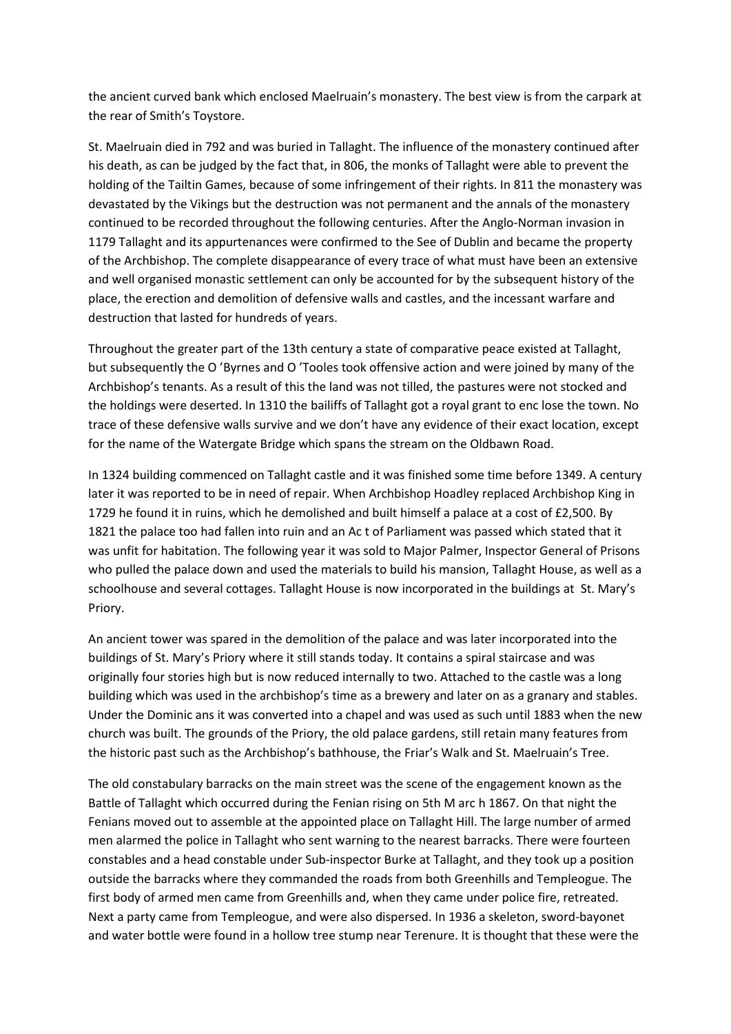the ancient curved bank which enclosed Maelruain's monastery. The best view is from the carpark at the rear of Smith's Toystore.

St. Maelruain died in 792 and was buried in Tallaght. The influence of the monastery continued after his death, as can be judged by the fact that, in 806, the monks of Tallaght were able to prevent the holding of the Tailtin Games, because of some infringement of their rights. In 811 the monastery was devastated by the Vikings but the destruction was not permanent and the annals of the monastery continued to be recorded throughout the following centuries. After the Anglo-Norman invasion in 1179 Tallaght and its appurtenances were confirmed to the See of Dublin and became the property of the Archbishop. The complete disappearance of every trace of what must have been an extensive and well organised monastic settlement can only be accounted for by the subsequent history of the place, the erection and demolition of defensive walls and castles, and the incessant warfare and destruction that lasted for hundreds of years.

Throughout the greater part of the 13th century a state of comparative peace existed at Tallaght, but subsequently the O 'Byrnes and O 'Tooles took offensive action and were joined by many of the Archbishop's tenants. As a result of this the land was not tilled, the pastures were not stocked and the holdings were deserted. In 1310 the bailiffs of Tallaght got a royal grant to enc lose the town. No trace of these defensive walls survive and we don't have any evidence of their exact location, except for the name of the Watergate Bridge which spans the stream on the Oldbawn Road.

In 1324 building commenced on Tallaght castle and it was finished some time before 1349. A century later it was reported to be in need of repair. When Archbishop Hoadley replaced Archbishop King in 1729 he found it in ruins, which he demolished and built himself a palace at a cost of £2,500. By 1821 the palace too had fallen into ruin and an Ac t of Parliament was passed which stated that it was unfit for habitation. The following year it was sold to Major Palmer, Inspector General of Prisons who pulled the palace down and used the materials to build his mansion, Tallaght House, as well as a schoolhouse and several cottages. Tallaght House is now incorporated in the buildings at St. Mary's Priory.

An ancient tower was spared in the demolition of the palace and was later incorporated into the buildings of St. Mary's Priory where it still stands today. It contains a spiral staircase and was originally four stories high but is now reduced internally to two. Attached to the castle was a long building which was used in the archbishop's time as a brewery and later on as a granary and stables. Under the Dominic ans it was converted into a chapel and was used as such until 1883 when the new church was built. The grounds of the Priory, the old palace gardens, still retain many features from the historic past such as the Archbishop's bathhouse, the Friar's Walk and St. Maelruain's Tree.

The old constabulary barracks on the main street was the scene of the engagement known as the Battle of Tallaght which occurred during the Fenian rising on 5th M arc h 1867. On that night the Fenians moved out to assemble at the appointed place on Tallaght Hill. The large number of armed men alarmed the police in Tallaght who sent warning to the nearest barracks. There were fourteen constables and a head constable under Sub-inspector Burke at Tallaght, and they took up a position outside the barracks where they commanded the roads from both Greenhills and Templeogue. The first body of armed men came from Greenhills and, when they came under police fire, retreated. Next a party came from Templeogue, and were also dispersed. In 1936 a skeleton, sword-bayonet and water bottle were found in a hollow tree stump near Terenure. It is thought that these were the